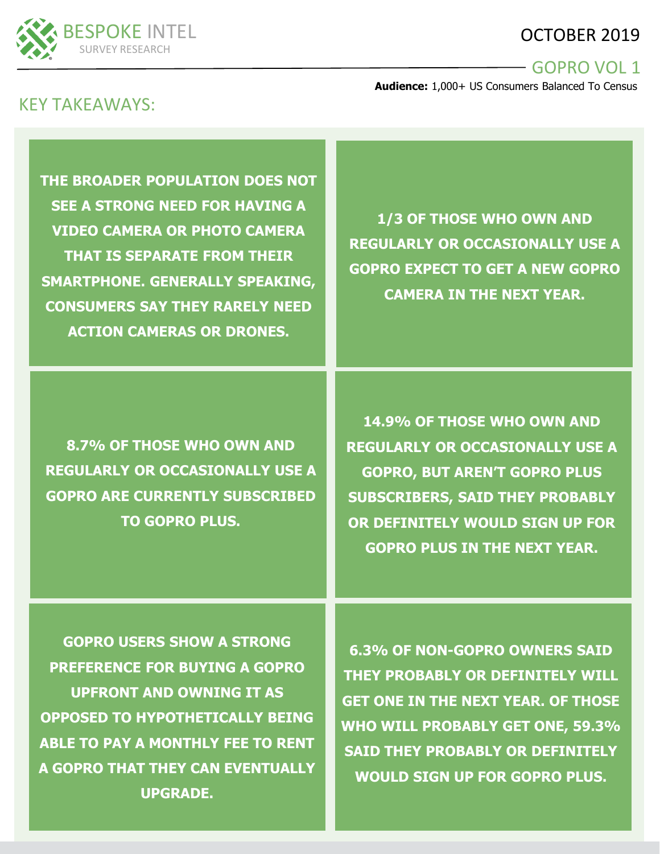# OCTOBER 2019



#### GOPRO VOL 1

**Audience:** 1,000+ US Consumers Balanced To Census

# KEY TAKEAWAYS:

**THE BROADER POPULATION DOES NOT SEE A STRONG NEED FOR HAVING A VIDEO CAMERA OR PHOTO CAMERA THAT IS SEPARATE FROM THEIR SMARTPHONE. GENERALLY SPEAKING, CONSUMERS SAY THEY RARELY NEED ACTION CAMERAS OR DRONES.**

**1/3 OF THOSE WHO OWN AND REGULARLY OR OCCASIONALLY USE A GOPRO EXPECT TO GET A NEW GOPRO CAMERA IN THE NEXT YEAR.** 

**8.7% OF THOSE WHO OWN AND REGULARLY OR OCCASIONALLY USE A GOPRO ARE CURRENTLY SUBSCRIBED TO GOPRO PLUS.**

**14.9% OF THOSE WHO OWN AND REGULARLY OR OCCASIONALLY USE A GOPRO, BUT AREN'T GOPRO PLUS SUBSCRIBERS, SAID THEY PROBABLY OR DEFINITELY WOULD SIGN UP FOR GOPRO PLUS IN THE NEXT YEAR.**

**GOPRO USERS SHOW A STRONG PREFERENCE FOR BUYING A GOPRO UPFRONT AND OWNING IT AS OPPOSED TO HYPOTHETICALLY BEING ABLE TO PAY A MONTHLY FEE TO RENT A GOPRO THAT THEY CAN EVENTUALLY UPGRADE.**

**6.3% OF NON-GOPRO OWNERS SAID THEY PROBABLY OR DEFINITELY WILL GET ONE IN THE NEXT YEAR. OF THOSE WHO WILL PROBABLY GET ONE, 59.3% SAID THEY PROBABLY OR DEFINITELY WOULD SIGN UP FOR GOPRO PLUS.**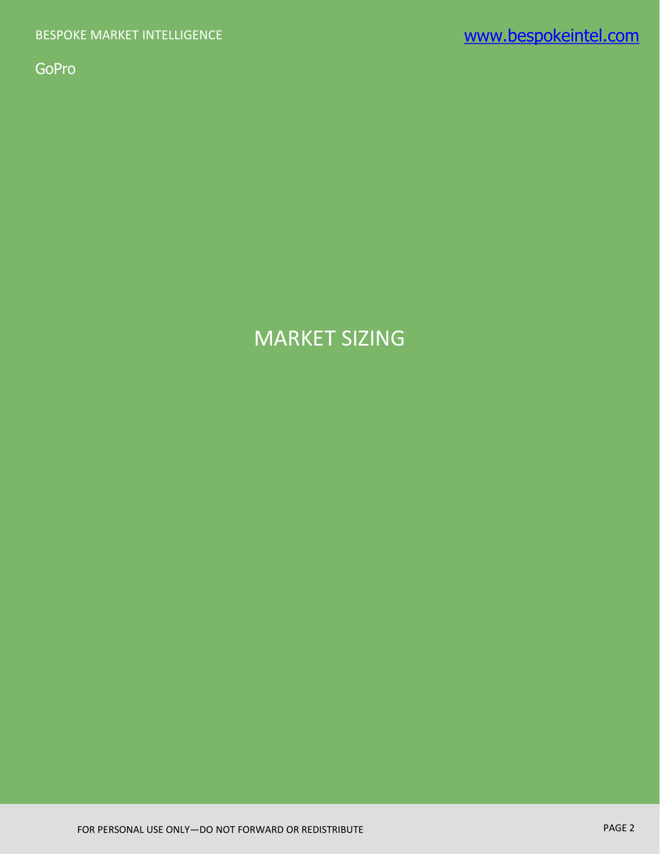# MARKET SIZING

FOR PERSONAL USE ONLY—DO NOT FORWARD OR REDISTRIBUTE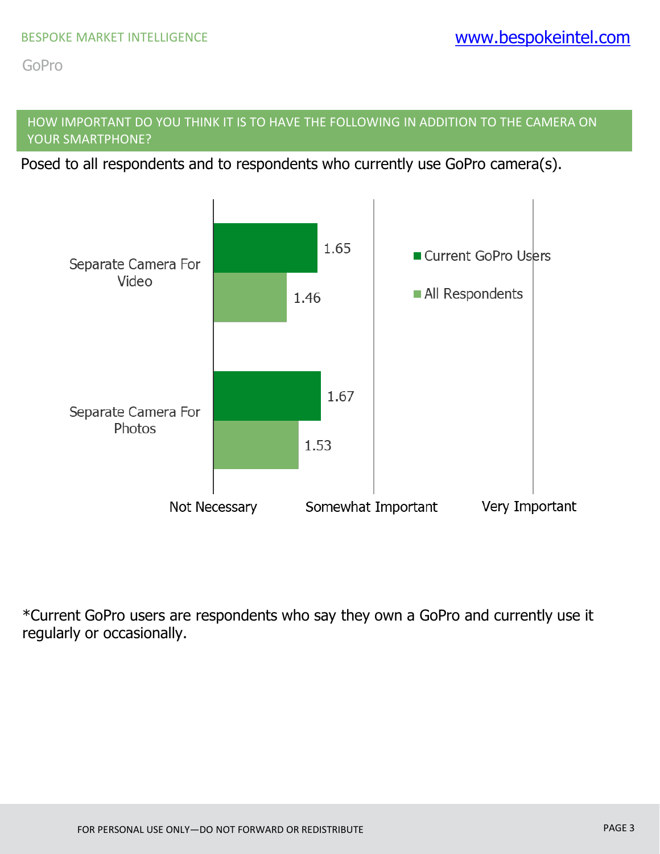# HOW IMPORTANT DO YOU THINK IT IS TO HAVE THE FOLLOWING IN ADDITION TO THE CAMERA ON YOUR SMARTPHONE?

Posed to all respondents and to respondents who currently use GoPro camera(s).

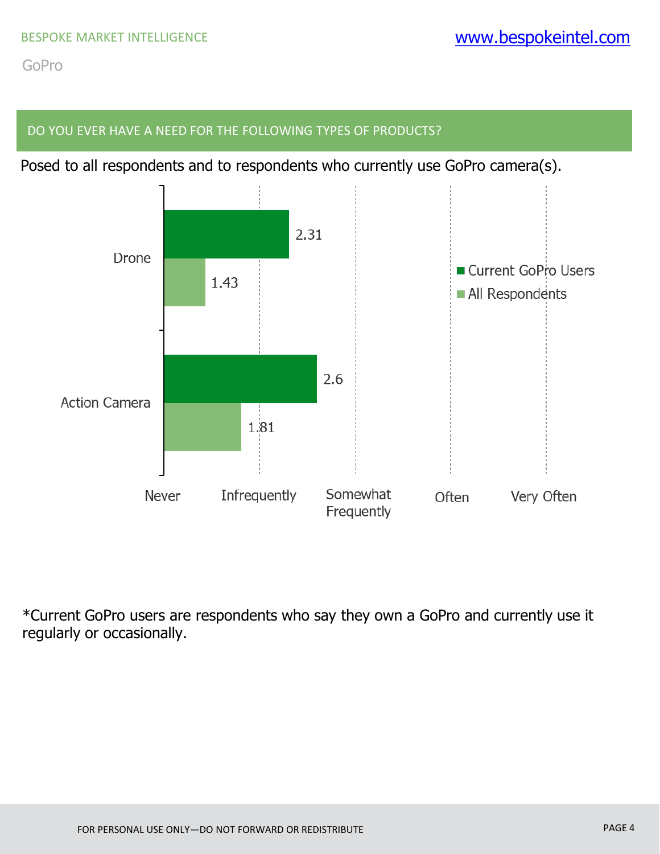#### DO YOU EVER HAVE A NEED FOR THE FOLLOWING TYPES OF PRODUCTS?

Posed to all respondents and to respondents who currently use GoPro camera(s).

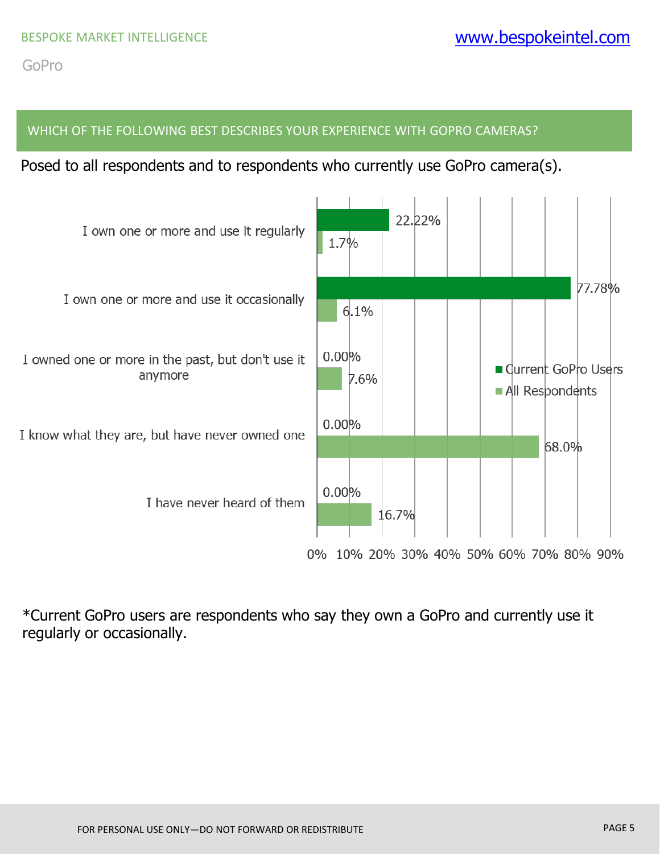#### WHICH OF THE FOLLOWING BEST DESCRIBES YOUR EXPERIENCE WITH GOPRO CAMERAS?

Posed to all respondents and to respondents who currently use GoPro camera(s).

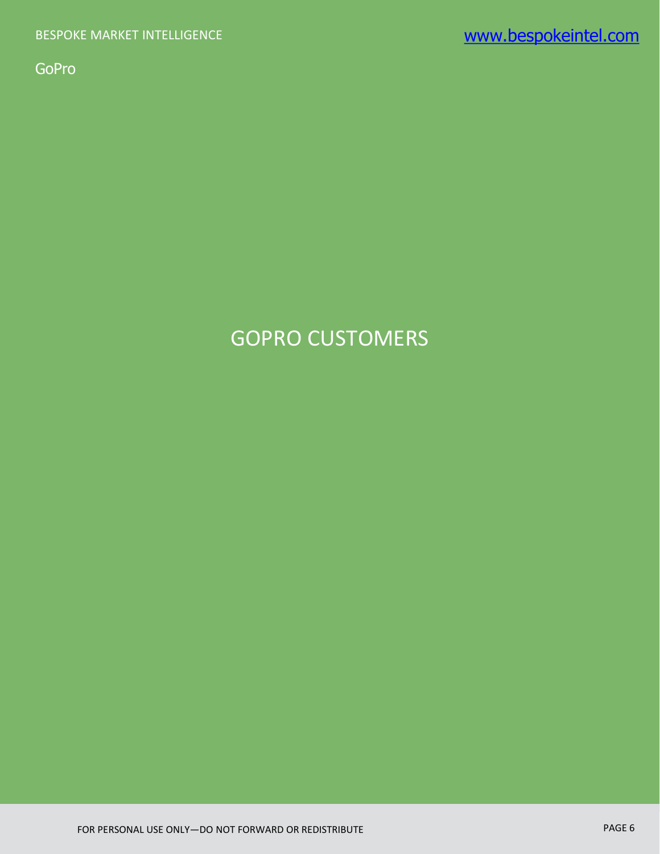# GOPRO CUSTOMERS

FOR PERSONAL USE ONLY—DO NOT FORWARD OR REDISTRIBUTE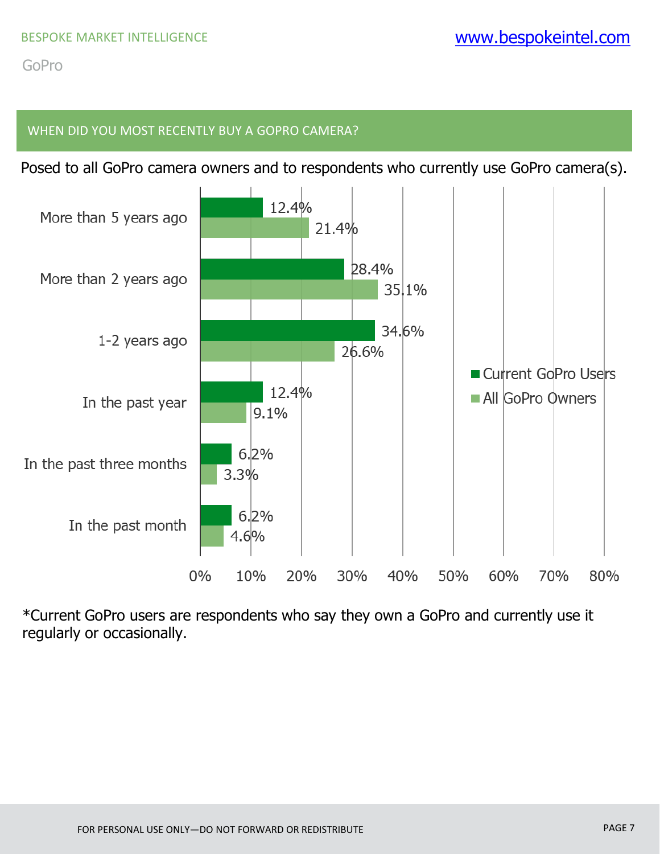# WHEN DID YOU MOST RECENTLY BUY A GOPRO CAMERA?

Posed to all GoPro camera owners and to respondents who currently use GoPro camera(s).

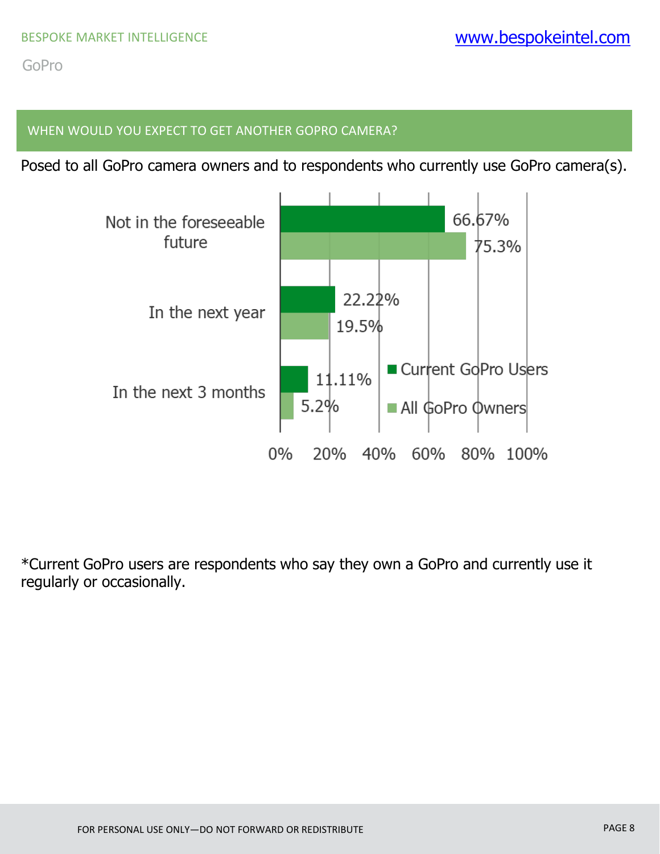## WHEN WOULD YOU EXPECT TO GET ANOTHER GOPRO CAMERA?

Posed to all GoPro camera owners and to respondents who currently use GoPro camera(s).

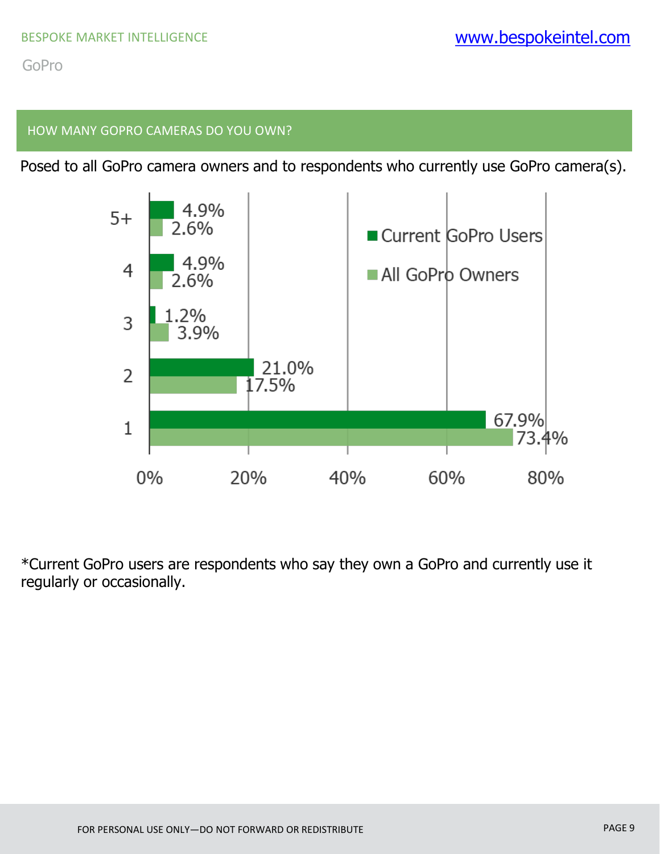#### HOW MANY GOPRO CAMERAS DO YOU OWN?

Posed to all GoPro camera owners and to respondents who currently use GoPro camera(s).

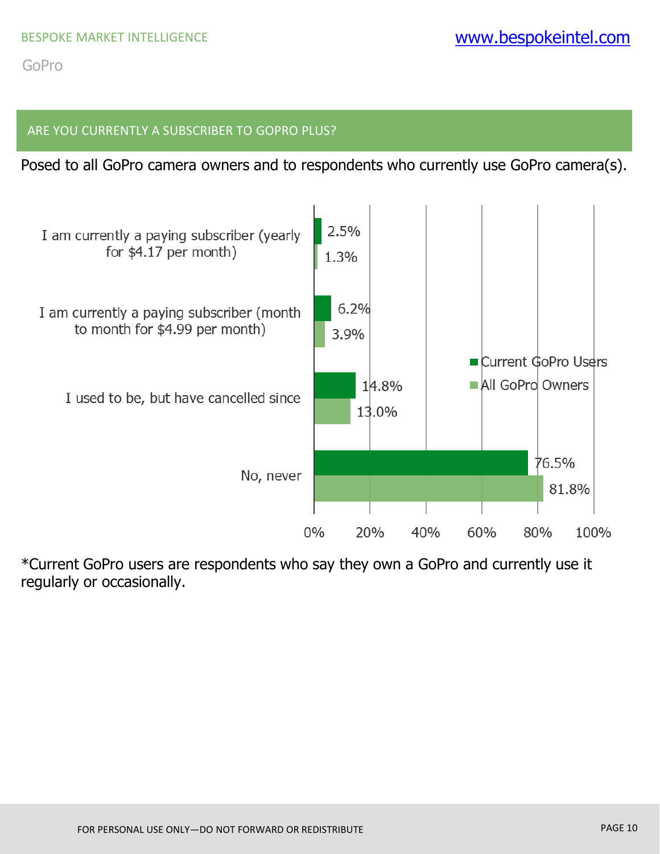#### ARE YOU CURRENTLY A SUBSCRIBER TO GOPRO PLUS?

Posed to all GoPro camera owners and to respondents who currently use GoPro camera(s).

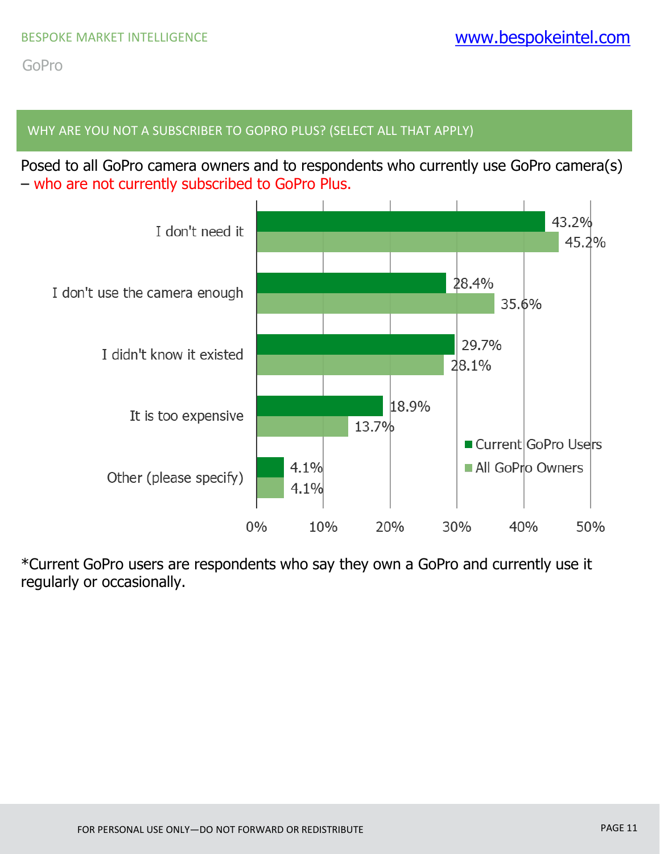### WHY ARE YOU NOT A SUBSCRIBER TO GOPRO PLUS? (SELECT ALL THAT APPLY)

Posed to all GoPro camera owners and to respondents who currently use GoPro camera(s) – who are not currently subscribed to GoPro Plus.

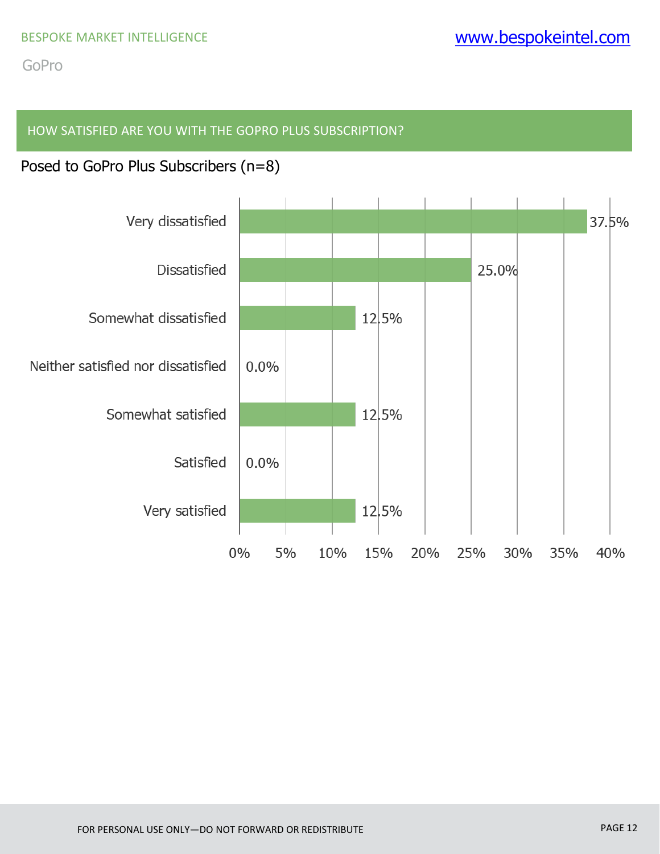### HOW SATISFIED ARE YOU WITH THE GOPRO PLUS SUBSCRIPTION?

# Posed to GoPro Plus Subscribers (n=8)

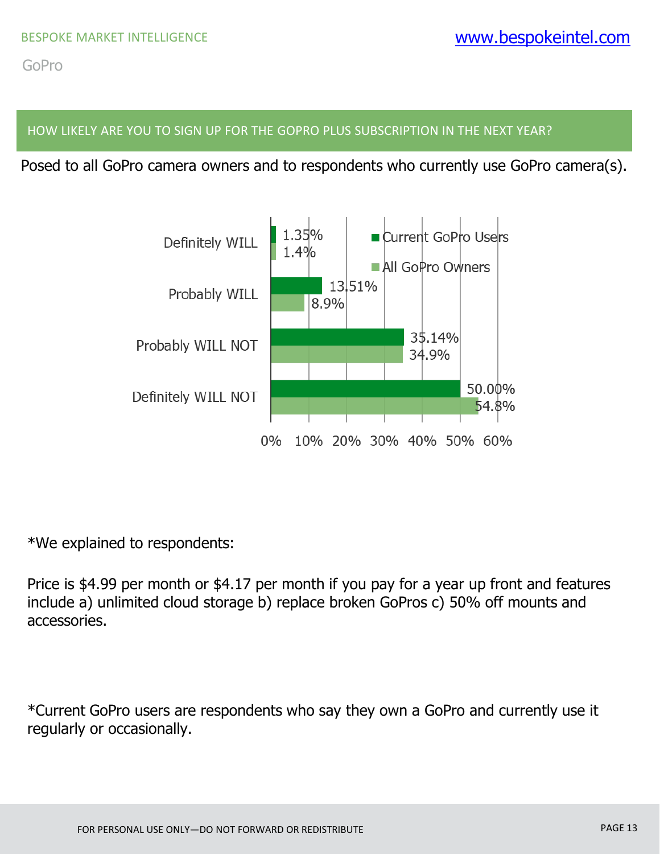#### HOW LIKELY ARE YOU TO SIGN UP FOR THE GOPRO PLUS SUBSCRIPTION IN THE NEXT YEAR?

Posed to all GoPro camera owners and to respondents who currently use GoPro camera(s).



\*We explained to respondents:

Price is \$4.99 per month or \$4.17 per month if you pay for a year up front and features include a) unlimited cloud storage b) replace broken GoPros c) 50% off mounts and accessories.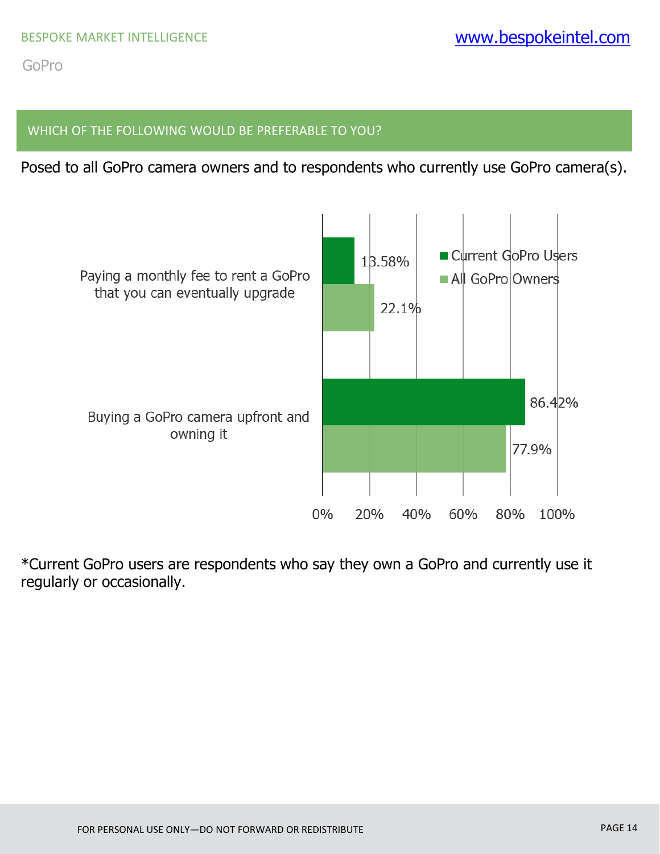#### WHICH OF THE FOLLOWING WOULD BE PREFERABLE TO YOU?

Posed to all GoPro camera owners and to respondents who currently use GoPro camera(s).

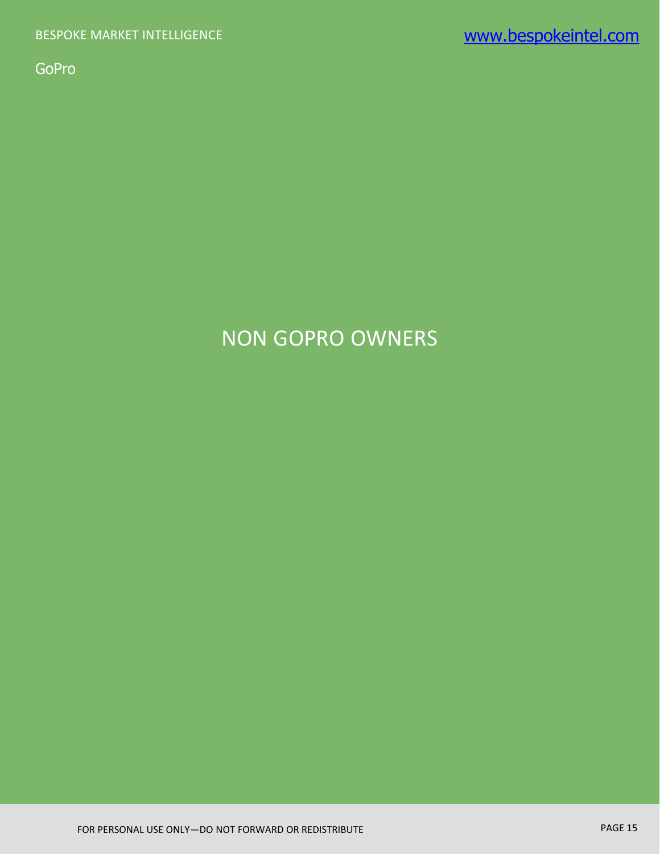# NON GOPRO OWNERS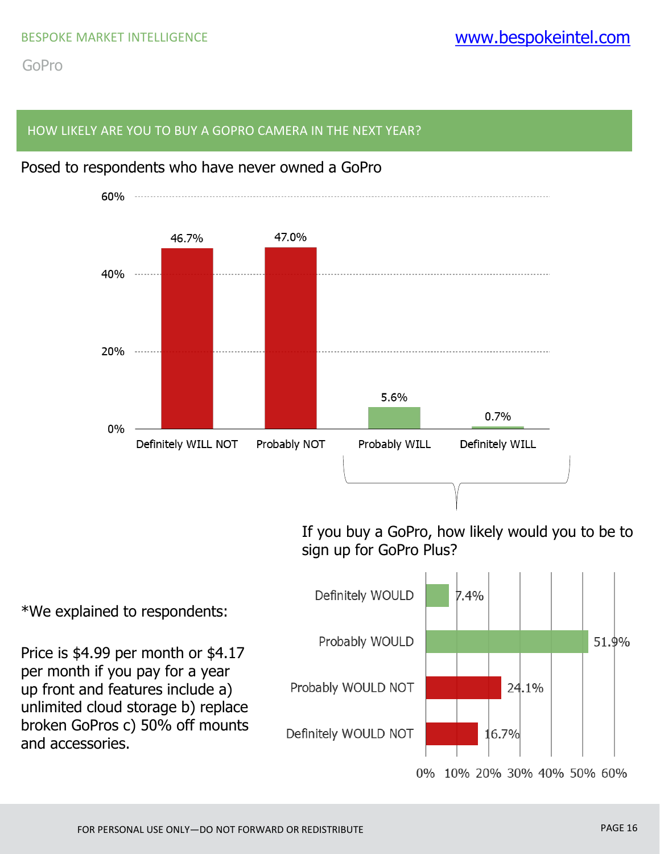#### HOW LIKELY ARE YOU TO BUY A GOPRO CAMERA IN THE NEXT YEAR?



Posed to respondents who have never owned a GoPro

0% 10% 20% 30% 40% 50% 60%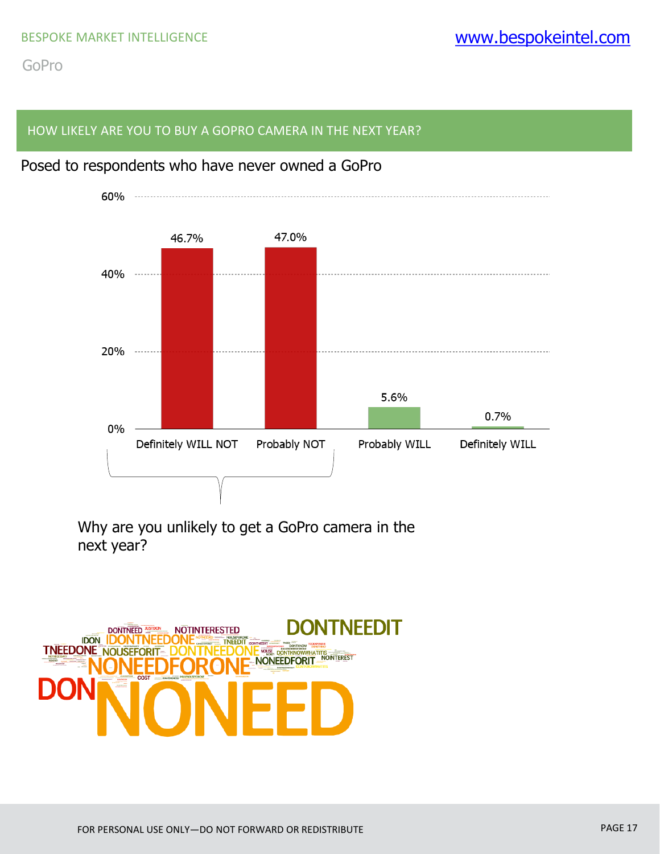#### HOW LIKELY ARE YOU TO BUY A GOPRO CAMERA IN THE NEXT YEAR?



# Posed to respondents who have never owned a GoPro

Why are you unlikely to get a GoPro camera in the next year?

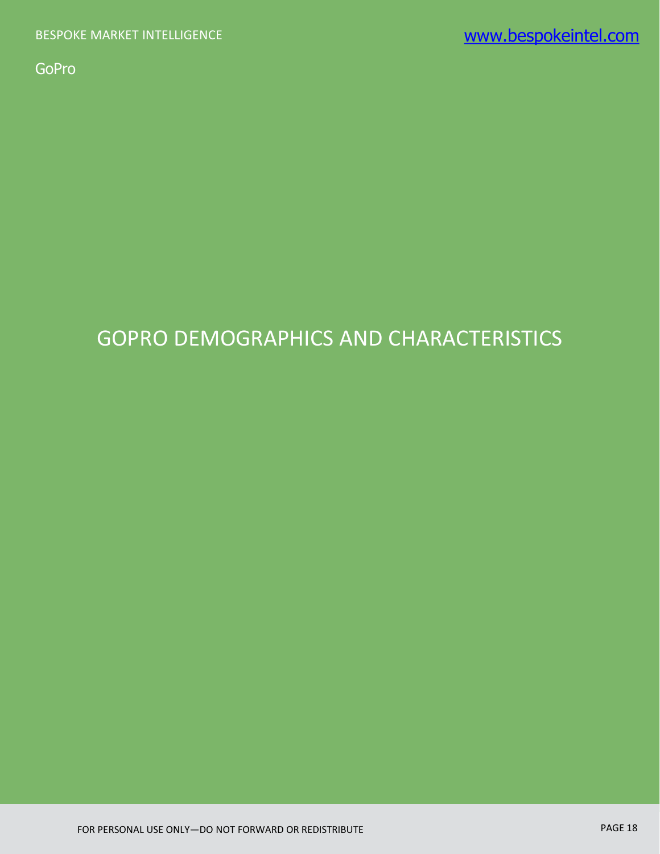# GOPRO DEMOGRAPHICS AND CHARACTERISTICS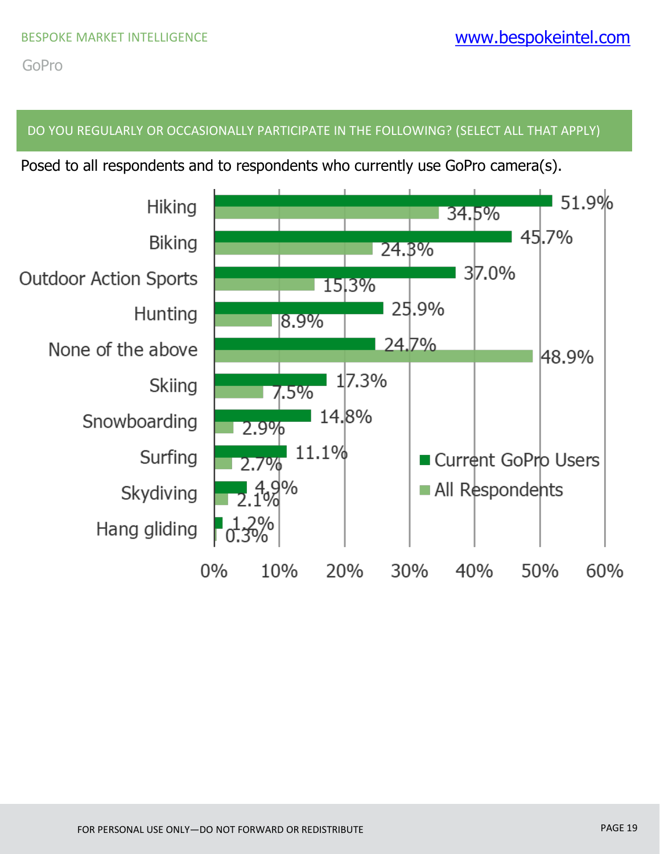#### DO YOU REGULARLY OR OCCASIONALLY PARTICIPATE IN THE FOLLOWING? (SELECT ALL THAT APPLY)

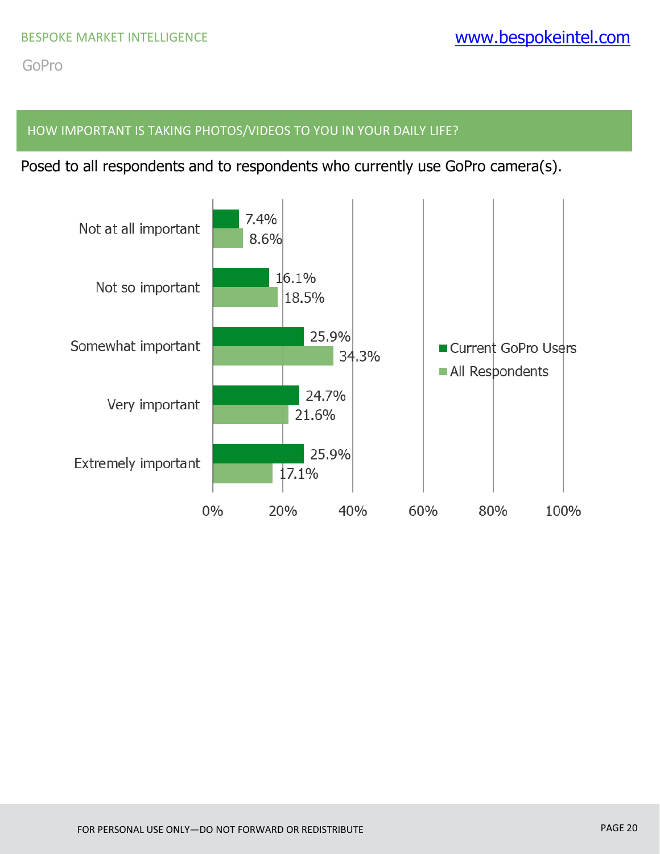#### HOW IMPORTANT IS TAKING PHOTOS/VIDEOS TO YOU IN YOUR DAILY LIFE?

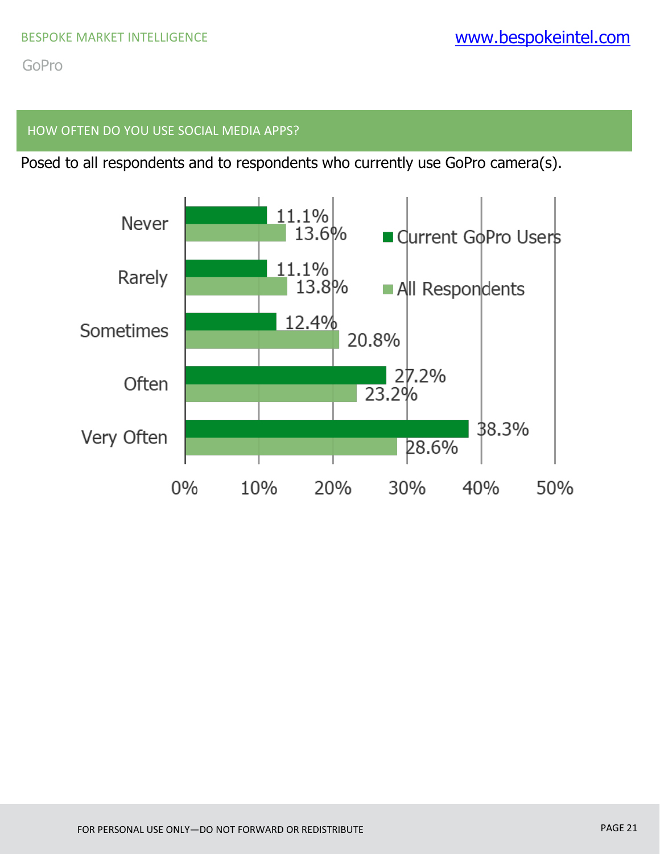#### HOW OFTEN DO YOU USE SOCIAL MEDIA APPS?

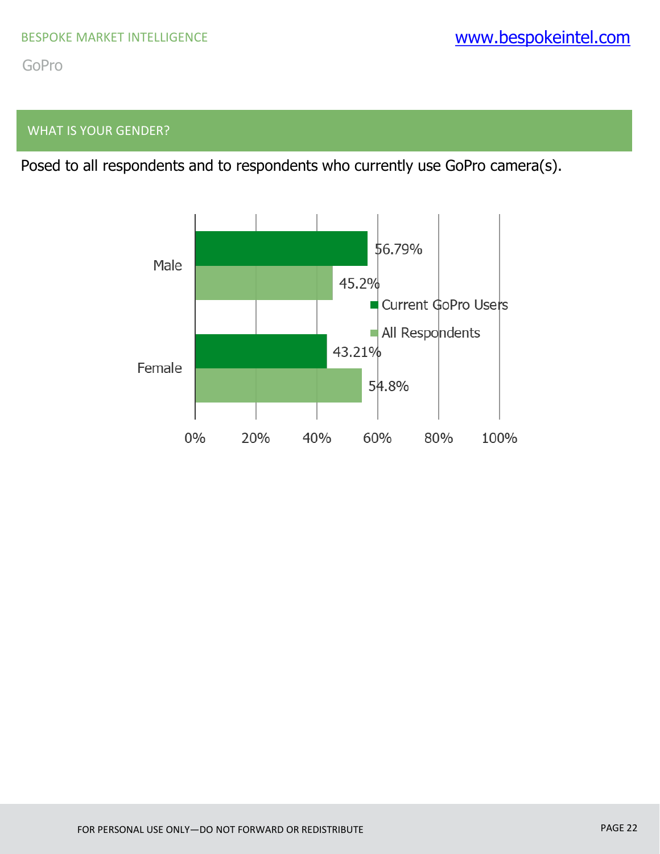## WHAT IS YOUR GENDER?

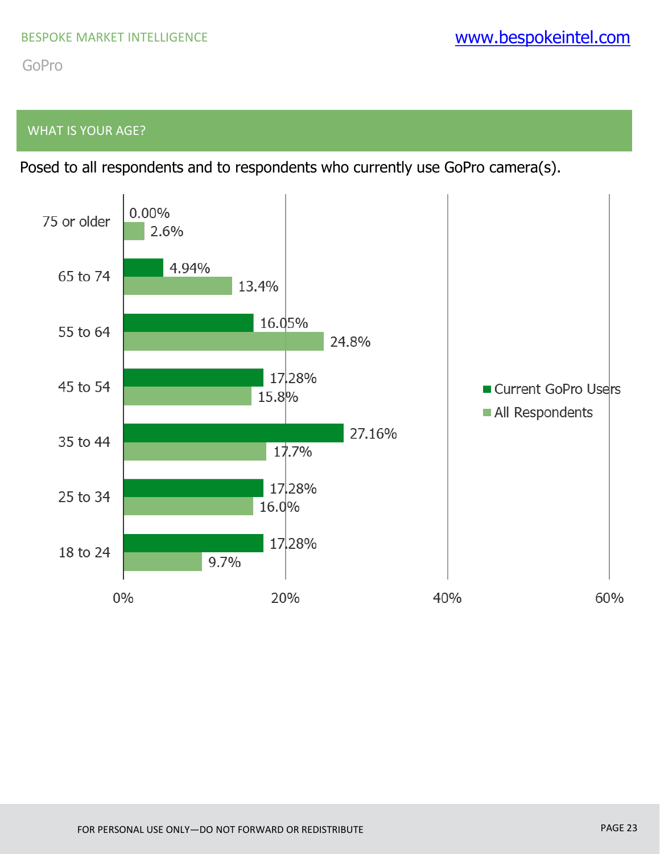## WHAT IS YOUR AGE?